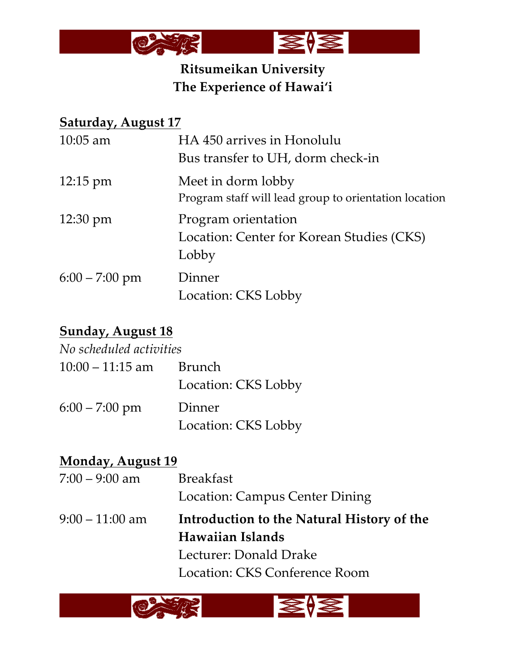

# **Ritsumeikan University The Experience of Hawai'i**

## **Saturday, August 17**

| $10:05$ am         | HA 450 arrives in Honolulu                            |
|--------------------|-------------------------------------------------------|
|                    | Bus transfer to UH, dorm check-in                     |
| $12:15 \text{ pm}$ | Meet in dorm lobby                                    |
|                    | Program staff will lead group to orientation location |
| $12:30 \text{ pm}$ | Program orientation                                   |
|                    | Location: Center for Korean Studies (CKS)             |
|                    | Lobby                                                 |
| $6:00 - 7:00$ pm   | Dinner                                                |
|                    | Location: CKS Lobby                                   |

# **Sunday, August 18**

| No scheduled activities |                     |
|-------------------------|---------------------|
| $10:00 - 11:15$ am      | Brunch              |
|                         | Location: CKS Lobby |
| $6:00 - 7:00$ pm        | Dinner              |
|                         | Location: CKS Lobby |

| <b>Monday, August 19</b> |                                            |
|--------------------------|--------------------------------------------|
| $7:00 - 9:00$ am         | <b>Breakfast</b>                           |
|                          | <b>Location: Campus Center Dining</b>      |
| $9:00 - 11:00$ am        | Introduction to the Natural History of the |
|                          | Hawaiian Islands                           |
|                          | Lecturer: Donald Drake                     |
|                          | Location: CKS Conference Room              |
|                          |                                            |

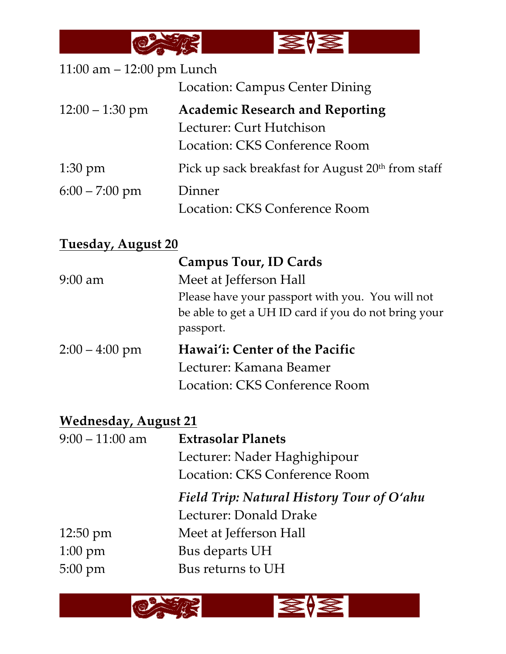

| 11:00 am $-$ 12:00 pm Lunch |                                                               |
|-----------------------------|---------------------------------------------------------------|
|                             | Location: Campus Center Dining                                |
| $12:00 - 1:30$ pm           | <b>Academic Research and Reporting</b>                        |
|                             | Lecturer: Curt Hutchison                                      |
|                             | Location: CKS Conference Room                                 |
| $1:30 \text{ pm}$           | Pick up sack breakfast for August 20 <sup>th</sup> from staff |
| $6:00 - 7:00$ pm            | Dinner                                                        |
|                             | Location: CKS Conference Room                                 |

# **Tuesday, August 20**

| <b>Campus Tour, ID Cards</b>                         |
|------------------------------------------------------|
| Meet at Jefferson Hall                               |
| Please have your passport with you. You will not     |
| be able to get a UH ID card if you do not bring your |
| passport.                                            |
| Hawai'i: Center of the Pacific                       |
| Lecturer: Kamana Beamer                              |
| Location: CKS Conference Room                        |
|                                                      |

# **Wednesday, August 21**

| $9:00 - 11:00$ am  | <b>Extrasolar Planets</b>                 |
|--------------------|-------------------------------------------|
|                    | Lecturer: Nader Haghighipour              |
|                    | Location: CKS Conference Room             |
|                    | Field Trip: Natural History Tour of O'ahu |
|                    | Lecturer: Donald Drake                    |
| $12:50 \text{ pm}$ | Meet at Jefferson Hall                    |
| $1:00 \text{ pm}$  | Bus departs UH                            |
| $5:00 \text{ pm}$  | Bus returns to UH                         |

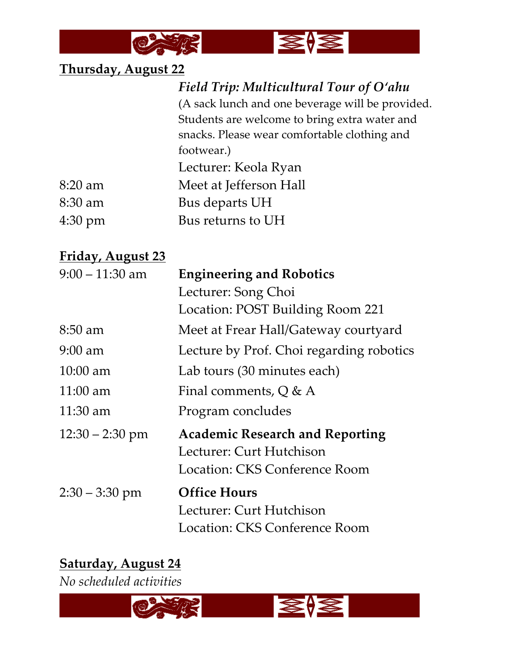

# **Thursday, August 22**

| Field Trip: Multicultural Tour of O'ahu          |
|--------------------------------------------------|
| (A sack lunch and one beverage will be provided. |
| Students are welcome to bring extra water and    |
| snacks. Please wear comfortable clothing and     |
| footwear.)                                       |
| Lecturer: Keola Ryan                             |
| Meet at Jefferson Hall                           |
| Bus departs UH                                   |
| Bus returns to UH                                |
|                                                  |

## **Friday, August 23**

| $9:00 - 11:30$ am  | <b>Engineering and Robotics</b>          |
|--------------------|------------------------------------------|
|                    | Lecturer: Song Choi                      |
|                    | Location: POST Building Room 221         |
| $8:50$ am          | Meet at Frear Hall/Gateway courtyard     |
| $9:00$ am          | Lecture by Prof. Choi regarding robotics |
| $10:00 \text{ am}$ | Lab tours (30 minutes each)              |
| $11:00 \text{ am}$ | Final comments, $Q & A$                  |
| 11:30 am           | Program concludes                        |
| $12:30 - 2:30$ pm  | <b>Academic Research and Reporting</b>   |
|                    | Lecturer: Curt Hutchison                 |
|                    | Location: CKS Conference Room            |
| $2:30 - 3:30$ pm   | <b>Office Hours</b>                      |
|                    | Lecturer: Curt Hutchison                 |
|                    | Location: CKS Conference Room            |

# **Saturday, August 24**

*No scheduled activities*

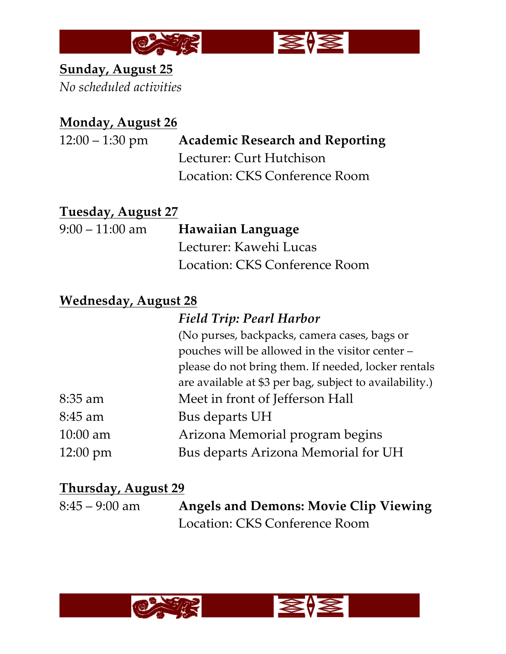

# **Sunday, August 25** *No scheduled activities*

## **Monday, August 26**

## 12:00 – 1:30 pm **Academic Research and Reporting** Lecturer: Curt Hutchison

Location: CKS Conference Room

#### **Tuesday, August 27**

| 9:00 – 11:00 am | <b>Hawaiian Language</b>      |
|-----------------|-------------------------------|
|                 | Lecturer: Kawehi Lucas        |
|                 | Location: CKS Conference Room |

#### **Wednesday, August 28**

|                    | <b>Field Trip: Pearl Harbor</b>                         |
|--------------------|---------------------------------------------------------|
|                    | (No purses, backpacks, camera cases, bags or            |
|                    | pouches will be allowed in the visitor center -         |
|                    | please do not bring them. If needed, locker rentals     |
|                    | are available at \$3 per bag, subject to availability.) |
| $8:35$ am          | Meet in front of Jefferson Hall                         |
| 8:45 am            | Bus departs UH                                          |
| $10:00$ am         | Arizona Memorial program begins                         |
| $12:00 \text{ pm}$ | Bus departs Arizona Memorial for UH                     |

## **Thursday, August 29**

| $8:45 - 9:00$ am | <b>Angels and Demons: Movie Clip Viewing</b> |
|------------------|----------------------------------------------|
|                  | Location: CKS Conference Room                |

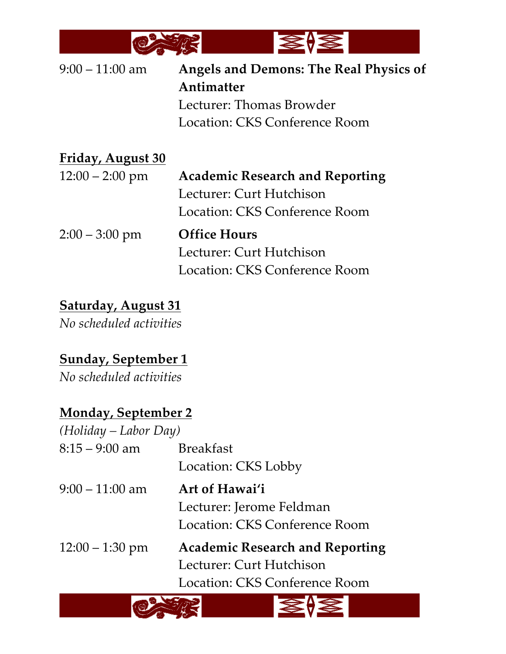

| $9:00 - 11:00$ am | <b>Angels and Demons: The Real Physics of</b> |
|-------------------|-----------------------------------------------|
|                   | Antimatter                                    |
|                   | Lecturer: Thomas Browder                      |
|                   | Location: CKS Conference Room                 |
| Friday, August 30 |                                               |
| $12:00 - 2:00$ pm | <b>Academic Research and Reporting</b>        |
|                   | Lecturer: Curt Hutchison                      |
|                   | Location: CKS Conference Room                 |
| $2:00 - 3:00$ pm  | <b>Office Hours</b>                           |
|                   | Lecturer: Curt Hutchison                      |
|                   | Location: CKS Conference Room                 |

# **Saturday, August 31**

*No scheduled activities*

# **Sunday, September 1**

*No scheduled activities*

## **Monday, September 2**

| $(Holiday-Labor Day)$ |                                        |
|-----------------------|----------------------------------------|
| $8:15 - 9:00$ am      | <b>Breakfast</b>                       |
|                       | Location: CKS Lobby                    |
| $9:00 - 11:00$ am     | Art of Hawai'i                         |
|                       | Lecturer: Jerome Feldman               |
|                       | Location: CKS Conference Room          |
| $12:00 - 1:30$ pm     | <b>Academic Research and Reporting</b> |
|                       | Lecturer: Curt Hutchison               |
|                       | Location: CKS Conference Room          |
|                       |                                        |

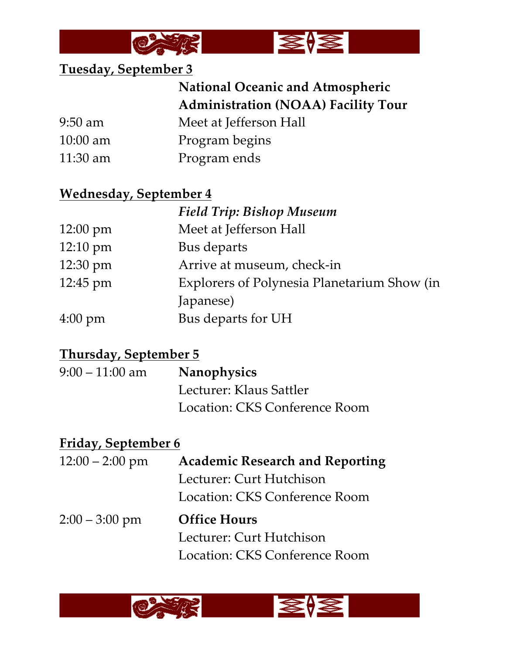



#### **Tuesday, September 3**

# **National Oceanic and Atmospheric Administration (NOAA) Facility Tour**

9:50 am Meet at Jefferson Hall

- 10:00 am Program begins
- 11:30 am Program ends

#### **Wednesday, September 4**

|                    | <b>Field Trip: Bishop Museum</b>            |
|--------------------|---------------------------------------------|
| $12:00 \text{ pm}$ | Meet at Jefferson Hall                      |
| $12:10 \text{ pm}$ | Bus departs                                 |
| 12:30 pm           | Arrive at museum, check-in                  |
| 12:45 pm           | Explorers of Polynesia Planetarium Show (in |
|                    | Japanese)                                   |
| $4:00 \text{ pm}$  | Bus departs for UH                          |

## **Thursday, September 5**

| $9:00-11:00$ am | <b>Nanophysics</b>            |
|-----------------|-------------------------------|
|                 | Lecturer: Klaus Sattler       |
|                 | Location: CKS Conference Room |

# **Friday, September 6**

| $12:00 - 2:00$ pm | <b>Academic Research and Reporting</b> |
|-------------------|----------------------------------------|
|                   | Lecturer: Curt Hutchison               |
|                   | Location: CKS Conference Room          |
| $2:00 - 3:00$ pm  | <b>Office Hours</b>                    |
|                   | Lecturer: Curt Hutchison               |
|                   | Location: CKS Conference Room          |

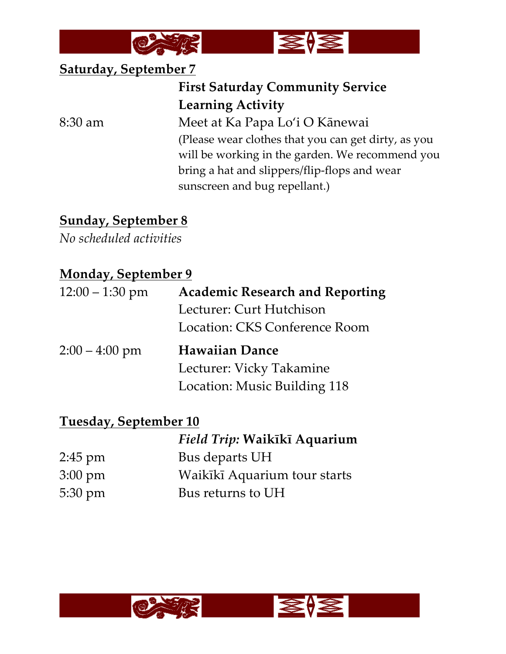



#### **Saturday, September 7**

# **First Saturday Community Service Learning Activity**

8:30 am Meet at Ka Papa Lo'i O Kānewai (Please wear clothes that you can get dirty, as you will be working in the garden. We recommend you bring a hat and slippers/flip-flops and wear sunscreen and bug repellant.)

# **Sunday, September 8**

*No scheduled activities*

#### **Monday, September 9**

| $12:00 - 1:30$ pm | <b>Academic Research and Reporting</b> |
|-------------------|----------------------------------------|
|                   | Lecturer: Curt Hutchison               |
|                   | Location: CKS Conference Room          |
| $2:00 - 4:00$ pm  | <b>Hawaiian Dance</b>                  |
|                   | Lecturer: Vicky Takamine               |
|                   | Location: Music Building 118           |

#### **Tuesday, September 10**

|                   | Field Trip: Waikīkī Aquarium |
|-------------------|------------------------------|
| $2:45$ pm         | Bus departs UH               |
| $3:00 \text{ pm}$ | Waikīkī Aquarium tour starts |
| $5:30 \text{ pm}$ | Bus returns to UH            |